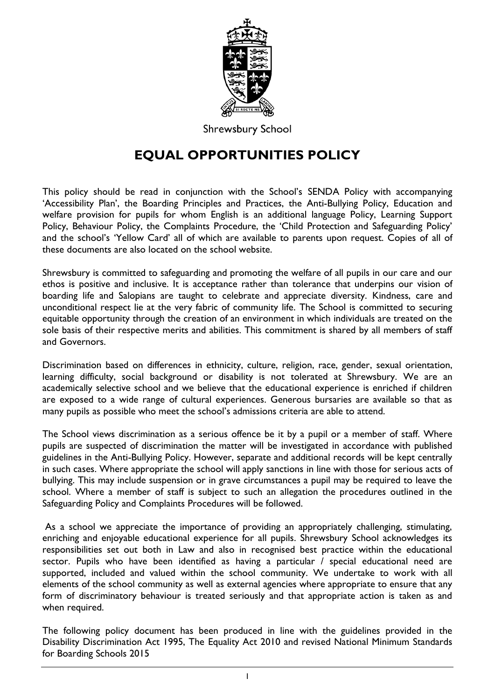

**Shrewsbury School** 

# **EQUAL OPPORTUNITIES POLICY**

This policy should be read in conjunction with the School's SENDA Policy with accompanying 'Accessibility Plan', the Boarding Principles and Practices, the Anti-Bullying Policy, Education and welfare provision for pupils for whom English is an additional language Policy, Learning Support Policy, Behaviour Policy, the Complaints Procedure, the 'Child Protection and Safeguarding Policy' and the school's 'Yellow Card' all of which are available to parents upon request. Copies of all of these documents are also located on the school website.

Shrewsbury is committed to safeguarding and promoting the welfare of all pupils in our care and our ethos is positive and inclusive. It is acceptance rather than tolerance that underpins our vision of boarding life and Salopians are taught to celebrate and appreciate diversity. Kindness, care and unconditional respect lie at the very fabric of community life. The School is committed to securing equitable opportunity through the creation of an environment in which individuals are treated on the sole basis of their respective merits and abilities. This commitment is shared by all members of staff and Governors.

Discrimination based on differences in ethnicity, culture, religion, race, gender, sexual orientation, learning difficulty, social background or disability is not tolerated at Shrewsbury. We are an academically selective school and we believe that the educational experience is enriched if children are exposed to a wide range of cultural experiences. Generous bursaries are available so that as many pupils as possible who meet the school's admissions criteria are able to attend.

The School views discrimination as a serious offence be it by a pupil or a member of staff. Where pupils are suspected of discrimination the matter will be investigated in accordance with published guidelines in the Anti-Bullying Policy. However, separate and additional records will be kept centrally in such cases. Where appropriate the school will apply sanctions in line with those for serious acts of bullying. This may include suspension or in grave circumstances a pupil may be required to leave the school. Where a member of staff is subject to such an allegation the procedures outlined in the Safeguarding Policy and Complaints Procedures will be followed.

As a school we appreciate the importance of providing an appropriately challenging, stimulating, enriching and enjoyable educational experience for all pupils. Shrewsbury School acknowledges its responsibilities set out both in Law and also in recognised best practice within the educational sector. Pupils who have been identified as having a particular / special educational need are supported, included and valued within the school community. We undertake to work with all elements of the school community as well as external agencies where appropriate to ensure that any form of discriminatory behaviour is treated seriously and that appropriate action is taken as and when required.

The following policy document has been produced in line with the guidelines provided in the Disability Discrimination Act 1995, The Equality Act 2010 and revised National Minimum Standards for Boarding Schools 2015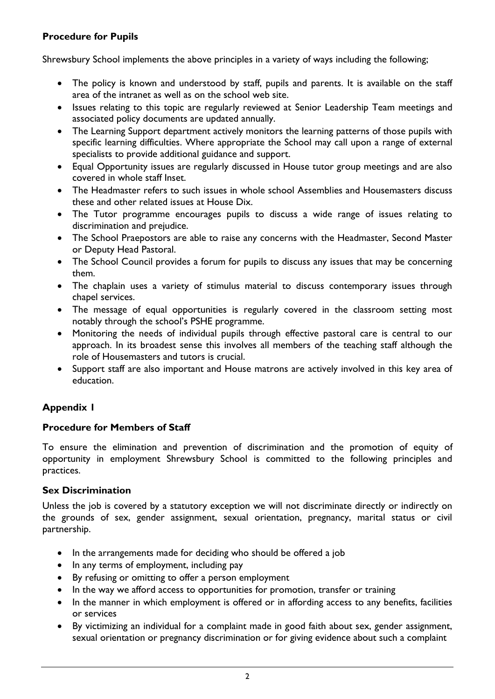## **Procedure for Pupils**

Shrewsbury School implements the above principles in a variety of ways including the following;

- The policy is known and understood by staff, pupils and parents. It is available on the staff area of the intranet as well as on the school web site.
- Issues relating to this topic are regularly reviewed at Senior Leadership Team meetings and associated policy documents are updated annually.
- The Learning Support department actively monitors the learning patterns of those pupils with specific learning difficulties. Where appropriate the School may call upon a range of external specialists to provide additional guidance and support.
- Equal Opportunity issues are regularly discussed in House tutor group meetings and are also covered in whole staff Inset.
- The Headmaster refers to such issues in whole school Assemblies and Housemasters discuss these and other related issues at House Dix.
- The Tutor programme encourages pupils to discuss a wide range of issues relating to discrimination and prejudice.
- The School Praepostors are able to raise any concerns with the Headmaster, Second Master or Deputy Head Pastoral.
- The School Council provides a forum for pupils to discuss any issues that may be concerning them.
- The chaplain uses a variety of stimulus material to discuss contemporary issues through chapel services.
- The message of equal opportunities is regularly covered in the classroom setting most notably through the school's PSHE programme.
- Monitoring the needs of individual pupils through effective pastoral care is central to our approach. In its broadest sense this involves all members of the teaching staff although the role of Housemasters and tutors is crucial.
- Support staff are also important and House matrons are actively involved in this key area of education.

### **Appendix 1**

### **Procedure for Members of Staff**

To ensure the elimination and prevention of discrimination and the promotion of equity of opportunity in employment Shrewsbury School is committed to the following principles and practices.

### **Sex Discrimination**

Unless the job is covered by a statutory exception we will not discriminate directly or indirectly on the grounds of sex, gender assignment, sexual orientation, pregnancy, marital status or civil partnership.

- In the arrangements made for deciding who should be offered a job
- In any terms of employment, including pay
- By refusing or omitting to offer a person employment
- In the way we afford access to opportunities for promotion, transfer or training
- In the manner in which employment is offered or in affording access to any benefits, facilities or services
- By victimizing an individual for a complaint made in good faith about sex, gender assignment, sexual orientation or pregnancy discrimination or for giving evidence about such a complaint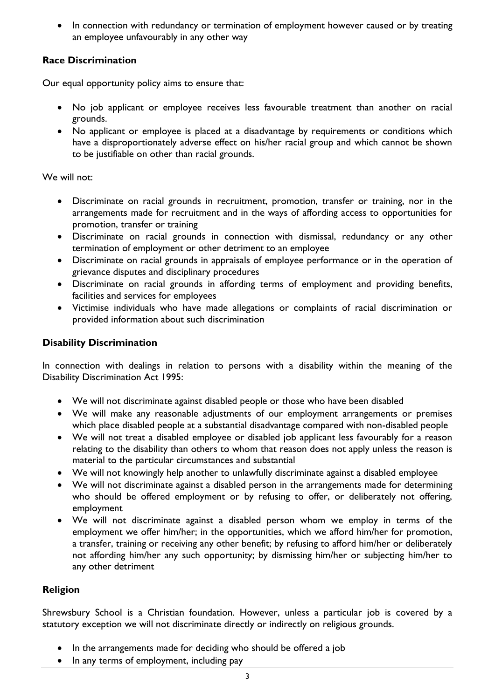• In connection with redundancy or termination of employment however caused or by treating an employee unfavourably in any other way

## **Race Discrimination**

Our equal opportunity policy aims to ensure that:

- No job applicant or employee receives less favourable treatment than another on racial grounds.
- No applicant or employee is placed at a disadvantage by requirements or conditions which have a disproportionately adverse effect on his/her racial group and which cannot be shown to be justifiable on other than racial grounds.

We will not:

- Discriminate on racial grounds in recruitment, promotion, transfer or training, nor in the arrangements made for recruitment and in the ways of affording access to opportunities for promotion, transfer or training
- Discriminate on racial grounds in connection with dismissal, redundancy or any other termination of employment or other detriment to an employee
- Discriminate on racial grounds in appraisals of employee performance or in the operation of grievance disputes and disciplinary procedures
- Discriminate on racial grounds in affording terms of employment and providing benefits, facilities and services for employees
- Victimise individuals who have made allegations or complaints of racial discrimination or provided information about such discrimination

#### **Disability Discrimination**

In connection with dealings in relation to persons with a disability within the meaning of the Disability Discrimination Act 1995:

- We will not discriminate against disabled people or those who have been disabled
- We will make any reasonable adjustments of our employment arrangements or premises which place disabled people at a substantial disadvantage compared with non-disabled people
- We will not treat a disabled employee or disabled job applicant less favourably for a reason relating to the disability than others to whom that reason does not apply unless the reason is material to the particular circumstances and substantial
- We will not knowingly help another to unlawfully discriminate against a disabled employee
- We will not discriminate against a disabled person in the arrangements made for determining who should be offered employment or by refusing to offer, or deliberately not offering, employment
- We will not discriminate against a disabled person whom we employ in terms of the employment we offer him/her; in the opportunities, which we afford him/her for promotion, a transfer, training or receiving any other benefit; by refusing to afford him/her or deliberately not affording him/her any such opportunity; by dismissing him/her or subjecting him/her to any other detriment

### **Religion**

Shrewsbury School is a Christian foundation. However, unless a particular job is covered by a statutory exception we will not discriminate directly or indirectly on religious grounds.

- In the arrangements made for deciding who should be offered a job
- In any terms of employment, including pay